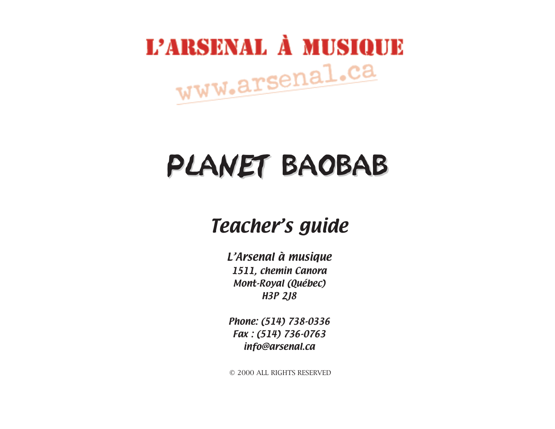

# PLANET BAOBAB

#### Teacher's guide

L'Arsenal à musique 1511, chemin Canora Mont-Royal (Québec) H3P 2J8

Phone: (514) 738-0336 Fax : (514) 736-0763 info@arsenal.ca

© 2000 ALL RIGHTS RESERVED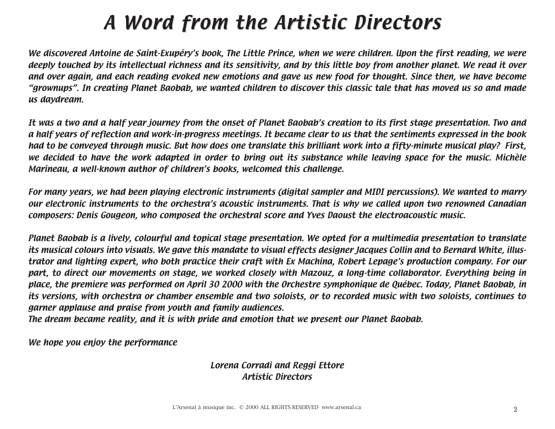## A Word from the Artistic Directors

We discovered Antoine de Saint-Exupéry's book, The Little Prince, when we were children. Upon the first reading, we were deeply touched by its intellectual richness and its sensitivity, and by this little boy from another planet. We read it over and over again, and each reading evoked new emotions and gave us new food for thought. Since then, we have become "grownups". In creating Planet Baobab, we wanted children to discover this classic tale that has moved us so and made us daydream.

It was a two and a half year journey from the onset of Planet Baobab's creation to its first stage presentation. Two and a half years of reflection and work-in-progress meetings. It became clear to us that the sentiments expressed in the book had to be conveyed through music. But how does one translate this brilliant work into a fifty-minute musical play? First, we decided to have the work adapted in order to bring out its substance while leaving space for the music. Michèle Marineau, a well-known author of children's books, welcomed this challenge.

For many years, we had been playing electronic instruments (digital sampler and MIDI percussions). We wanted to marry our electronic instruments to the orchestra's acoustic instruments. That is why we called upon two renowned Canadian composers: Denis Gougeon, who composed the orchestral score and Yves Daoust the electroacoustic music.

Planet Baobab is a lively, colourful and topical stage presentation. We opted for a multimedia presentation to translate its musical colours into visuals. We gave this mandate to visual effects designer Jacques Collin and to Bernard White, illustrator and lighting expert, who both practice their craft with Ex Machina, Robert Lepage's production company. For our part, to direct our movements on stage, we worked closely with Mazouz, a long-time collaborator. Everything being in place, the premiere was performed on April 30 2000 with the Orchestre symphonique de Québec. Today, Planet Baobab, in its versions, with orchestra or chamber ensemble and two soloists, or to recorded music with two soloists, continues to garner applause and praise from youth and family audiences.

The dream became reality, and it is with pride and emotion that we present our Planet Baobab.

We hope you enjoy the performance

#### Lorena Corradi and Reggi Ettore Artistic Directors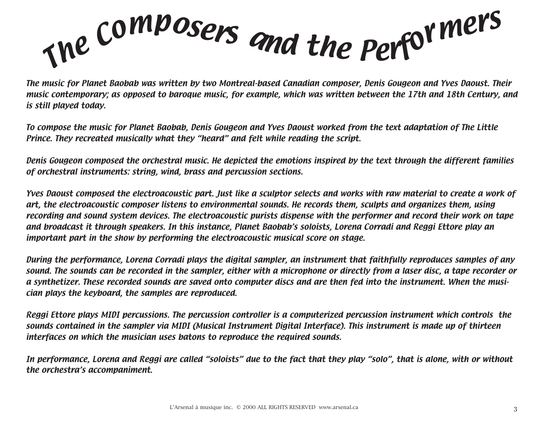The Composers and the Performers

The music for Planet Baobab was written by two Montreal-based Canadian composer, Denis Gougeon and Yves Daoust. Their music contemporary; as opposed to baroque music, for example, which was written between the 17th and 18th Century, and is still played today.

To compose the music for Planet Baobab, Denis Gougeon and Yves Daoust worked from the text adaptation of The Little Prince. They recreated musically what they "heard" and felt while reading the script.

Denis Gougeon composed the orchestral music. He depicted the emotions inspired by the text through the different families of orchestral instruments: string, wind, brass and percussion sections.

Yves Daoust composed the electroacoustic part. Just like a sculptor selects and works with raw material to create a work of art, the electroacoustic composer listens to environmental sounds. He records them, sculpts and organizes them, using recording and sound system devices. The electroacoustic purists dispense with the performer and record their work on tape and broadcast it through speakers. In this instance, Planet Baobab's soloists, Lorena Corradi and Reggi Ettore play an important part in the show by performing the electroacoustic musical score on stage.

During the performance, Lorena Corradi plays the digital sampler, an instrument that faithfully reproduces samples of any sound. The sounds can be recorded in the sampler, either with a microphone or directly from a laser disc, a tape recorder or a synthetizer. These recorded sounds are saved onto computer discs and are then fed into the instrument. When the musician plays the keyboard, the samples are reproduced.

Reggi Ettore plays MIDI percussions. The percussion controller is a computerized percussion instrument which controls the sounds contained in the sampler via MIDI (Musical Instrument Digital Interface). This instrument is made up of thirteen interfaces on which the musician uses batons to reproduce the required sounds.

In performance, Lorena and Reggi are called "soloists" due to the fact that they play "solo", that is alone, with or without the orchestra's accompaniment.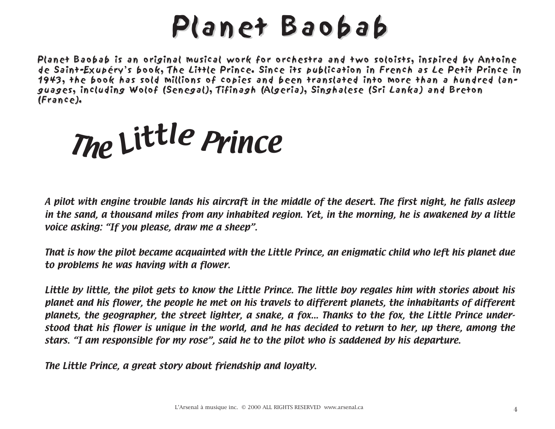# Planet Baobab

Planet Baobab is an original musical work for orchestra and two soloists, inspired by Antoine de Saint-Exupéry's book, The Little Prince. Since its publication in French as Le Petit Prince in 1943, the book has sold millions of copies and been translated into more than a hundred languages, including Wolof (Senegal), Tifinagh (Algeria), Singhalese (Sri Lanka) and Breton (France). (France).

<sup>T</sup>h<sup>e</sup> <sup>L</sup>ittl<sup>e</sup> <sup>P</sup>rinc<sup>e</sup>

A pilot with engine trouble lands his aircraft in the middle of the desert. The first night, he falls asleep in the sand, a thousand miles from any inhabited region. Yet, in the morning, he is awakened by a little voice asking: "If you please, draw me a sheep".

That is how the pilot became acquainted with the Little Prince, an enigmatic child who left his planet due to problems he was having with a flower.

Little by little, the pilot gets to know the Little Prince. The little boy regales him with stories about his planet and his flower, the people he met on his travels to different planets, the inhabitants of different planets, the geographer, the street lighter, a snake, a fox... Thanks to the fox, the Little Prince understood that his flower is unique in the world, and he has decided to return to her, up there, among the stars. "I am responsible for my rose", said he to the pilot who is saddened by his departure.

The Little Prince, a great story about friendship and loyalty.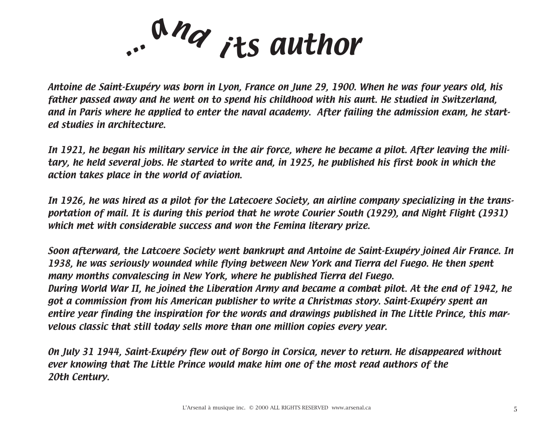... and its author

Antoine de Saint-Exupéry was born in Lyon, France on June 29, 1900. When he was four years old, his father passed away and he went on to spend his childhood with his aunt. He studied in Switzerland, and in Paris where he applied to enter the naval academy. After failing the admission exam, he started studies in architecture.

In 1921, he began his military service in the air force, where he became a pilot. After leaving the military, he held several jobs. He started to write and, in 1925, he published his first book in which the action takes place in the world of aviation.

In 1926, he was hired as a pilot for the Latecoere Society, an airline company specializing in the transportation of mail. It is during this period that he wrote Courier South (1929), and Night Flight (1931) which met with considerable success and won the Femina literary prize.

Soon afterward, the Latcoere Society went bankrupt and Antoine de Saint-Exupéry joined Air France. In 1938, he was seriously wounded while flying between New York and Tierra del Fuego. He then spent many months convalescing in New York, where he published Tierra del Fuego. During World War II, he joined the Liberation Army and became a combat pilot. At the end of 1942, he got a commission from his American publisher to write a Christmas story. Saint-Exupéry spent an entire year finding the inspiration for the words and drawings published in The Little Prince, this marvelous classic that still today sells more than one million copies every year.

On July 31 1944, Saint-Exupéry flew out of Borgo in Corsica, never to return. He disappeared without ever knowing that The Little Prince would make him one of the most read authors of the 20th Century.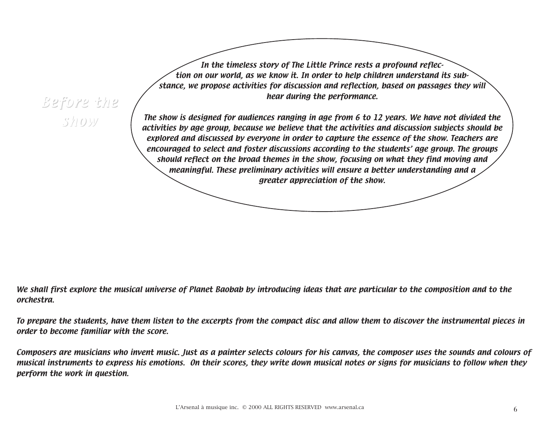Before the show

In the timeless story of The Little Prince rests a profound reflection on our world, as we know it. In order to help children understand its substance, we propose activities for discussion and reflection, based on passages they will hear during the performance.

The show is designed for audiences ranging in age from 6 to 12 years. We have not divided the activities by age group, because we believe that the activities and discussion subjects should be explored and discussed by everyone in order to capture the essence of the show. Teachers are encouraged to select and foster discussions according to the students' age group. The groups should reflect on the broad themes in the show, focusing on what they find moving and meaningful. These preliminary activities will ensure a better understanding and a greater appreciation of the show.

We shall first explore the musical universe of Planet Baobab by introducing ideas that are particular to the composition and to the orchestra.

To prepare the students, have them listen to the excerpts from the compact disc and allow them to discover the instrumental pieces in order to become familiar with the score.

Composers are musicians who invent music. Just as a painter selects colours for his canvas, the composer uses the sounds and colours of musical instruments to express his emotions. On their scores, they write down musical notes or signs for musicians to follow when they perform the work in question.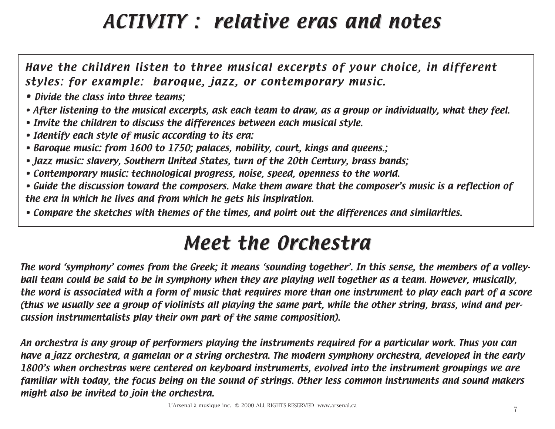## ACTIVITY : relative eras and notes

Have the children listen to three musical excerpts of your choice, in different styles: for example: baroque, jazz, or contemporary music.

- Divide the class into three teams:
- After listening to the musical excerpts, ask each team to draw, as a group or individually, what they feel.
- Invite the children to discuss the differences between each musical style.
- Identify each style of music according to its era:
- Baroque music: from 1600 to 1750; palaces, nobility, court, kings and queens.;
- Jazz music: slavery, Southern United States, turn of the 20th Century, brass bands;
- Contemporary music: technological progress, noise, speed, openness to the world.
- Guide the discussion toward the composers. Make them aware that the composer's music is a reflection of the era in which he lives and from which he gets his inspiration.
- Compare the sketches with themes of the times, and point out the differences and similarities.

### Meet the Orchestra

The word 'symphony' comes from the Greek; it means 'sounding together'. In this sense, the members of a volleyball team could be said to be in symphony when they are playing well together as a team. However, musically, the word is associated with a form of music that requires more than one instrument to play each part of a score (thus we usually see a group of violinists all playing the same part, while the other string, brass, wind and percussion instrumentalists play their own part of the same composition).

An orchestra is any group of performers playing the instruments required for a particular work. Thus you can have a jazz orchestra, a gamelan or a string orchestra. The modern symphony orchestra, developed in the early 1800's when orchestras were centered on keyboard instruments, evolved into the instrument groupings we are familiar with today, the focus being on the sound of strings. Other less common instruments and sound makers might also be invited to join the orchestra.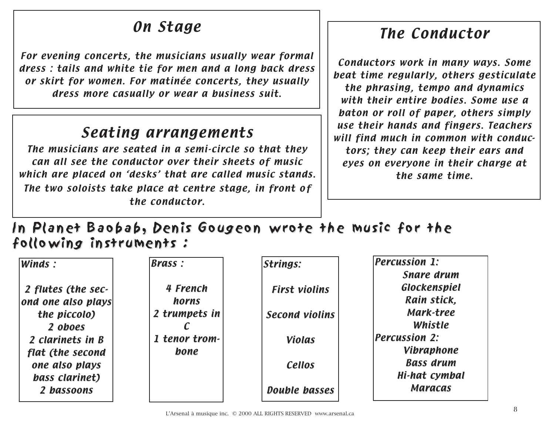#### On Stage

For evening concerts, the musicians usually wear formal dress : tails and white tie for men and a long back dress or skirt for women. For matinée concerts, they usually dress more casually or wear a business suit.

#### Seating arrangements

The musicians are seated in a semi-circle so that they can all see the conductor over their sheets of music which are placed on 'desks' that are called music stands. The two soloists take place at centre stage, in front of the conductor.

#### The Conductor

Conductors work in many ways. Some beat time regularly, others gesticulate the phrasing, tempo and dynamics with their entire bodies. Some use a baton or roll of paper, others simply use their hands and fingers. Teachers will find much in common with conductors; they can keep their ears and eyes on everyone in their charge at the same time.

In Planet Baobab, Denis Gougeon wrote the music for the following instruments :

| Winds:             | <b>Brass:</b> | <b>Strings:</b>       | <b>Percussion 1:</b> |
|--------------------|---------------|-----------------------|----------------------|
|                    |               |                       | <b>Snare drum</b>    |
| 2 flutes (the sec- | 4 French      | <b>First violins</b>  | Glockenspiel         |
| ond one also plays | horns         |                       | Rain stick,          |
| the piccolo)       | 2 trumpets in | <b>Second violins</b> | Mark-tree            |
| 2 oboes            |               |                       | Whistle              |
| 2 clarinets in B   | 1 tenor trom- | <b>Violas</b>         | <b>Percussion 2:</b> |
| flat (the second   | bone          |                       | <b>Vibraphone</b>    |
| one also plays     |               | <b>Cellos</b>         | <b>Bass drum</b>     |
| bass clarinet)     |               |                       | Hi-hat cymbal        |
| 2 bassoons         |               | <b>Double basses</b>  | <b>Maracas</b>       |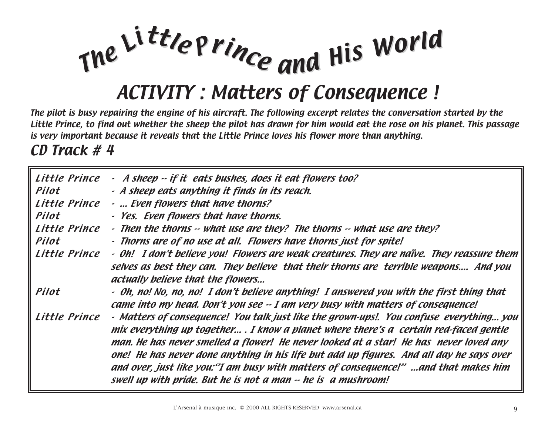

#### ACTIVITY : Matters of Consequence !

The pilot is busy repairing the engine of his aircraft. The following excerpt relates the conversation started by the Little Prince, to find out whether the sheep the pilot has drawn for him would eat the rose on his planet. This passage is very important because it reveals that the Little Prince loves his flower more than anything.

CD Track # 4

| Little Prince | - A sheep -- if it eats bushes, does it eat flowers too?                                                                                                                                                                                                                                                                                                                                                                                                                                                                       |
|---------------|--------------------------------------------------------------------------------------------------------------------------------------------------------------------------------------------------------------------------------------------------------------------------------------------------------------------------------------------------------------------------------------------------------------------------------------------------------------------------------------------------------------------------------|
| Pilot         | - A sheep eats anything it finds in its reach.                                                                                                                                                                                                                                                                                                                                                                                                                                                                                 |
| Little Prince | -  Even flowers that have thorns?                                                                                                                                                                                                                                                                                                                                                                                                                                                                                              |
| Pilot         | - Yes. Even flowers that have thorns.                                                                                                                                                                                                                                                                                                                                                                                                                                                                                          |
| Little Prince | - Then the thorns -- what use are they? The thorns -- what use are they?                                                                                                                                                                                                                                                                                                                                                                                                                                                       |
| Pilot         | - Thorns are of no use at all. Flowers have thorns just for spite!                                                                                                                                                                                                                                                                                                                                                                                                                                                             |
| Little Prince | - Oh! I don't believe you! Flowers are weak creatures. They are naïve. They reassure them<br>selves as best they can. They believe that their thorns are terrible weapons And you<br>actually believe that the flowers                                                                                                                                                                                                                                                                                                         |
| Pilot         | - Oh, no! No, no, no! I don't believe anything! I answered you with the first thing that<br>came into my head. Don't you see -- I am very busy with matters of consequence!                                                                                                                                                                                                                                                                                                                                                    |
| Little Prince | - Matters of consequence! You talk just like the grown-ups!. You confuse everything you<br>mix everything up together . I know a planet where there's a certain red-faced gentle<br>man. He has never smelled a flower! He never looked at a star! He has never loved any<br>one! He has never done anything in his life but add up figures. And all day he says over<br>and over, just like you: "I am busy with matters of consequence!" and that makes him<br>swell up with pride. But he is not a man -- he is a mushroom! |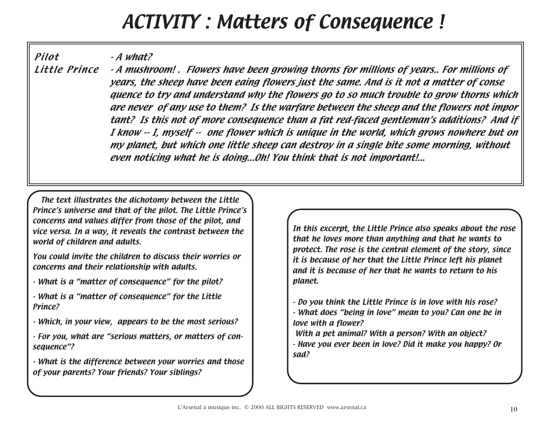#### ACTIVITY : Matters of Consequence !

Pilot - A what?

Little Prince - A mushroom! . Flowers have been growing thorns for millions of years.. For millions of years, the sheep have been eaing flowers just the same. And is it not a matter of conse quence to try and understand why the flowers go to so much trouble to grow thorns which are never of any use to them? Is the warfare between the sheep and the flowers not impor tant? Is this not of more consequence than a fat red-faced gentleman's additions? And if I know -- I, myself -- one flower which is unique in the world, which grows nowhere but on my planet, but which one little sheep can destroy in a single bite some morning, without even noticing what he is doing...Oh! You think that is not important!...

The text illustrates the dichotomy between the Little Prince's universe and that of the pilot. The Little Prince's concerns and values differ from those of the pilot, and vice versa. In a way, it reveals the contrast between the world of children and adults.

You could invite the children to discuss their worries or concerns and their relationship with adults.

- What is a "matter of consequence" for the pilot?

- What is a "matter of consequence" for the Little Prince?

- Which, in your view, appears to be the most serious?
- For you, what are "serious matters, or matters of consequence"?

- What is the difference between your worries and those of your parents? Your friends? Your siblings?

In this excerpt, the Little Prince also speaks about the rose that he loves more than anything and that he wants to protect. The rose is the central element of the story, since it is because of her that the Little Prince left his planet and it is because of her that he wants to return to his planet.

- Do you think the Little Prince is in love with his rose? - What does "being in love" mean to you? Can one be in love with a flower?
- With a pet animal? With a person? With an object? - Have you ever been in love? Did it make you happy? Or sad?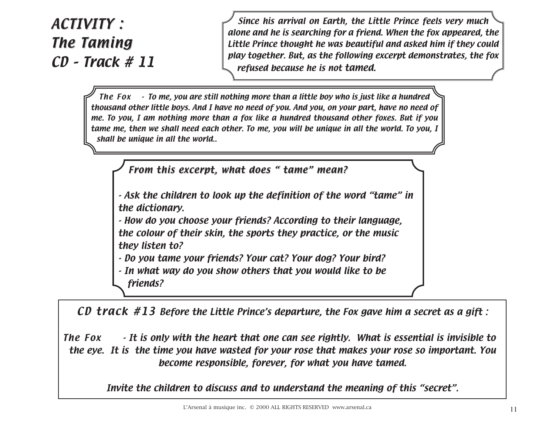#### ACTIVITY : **The Taming** CD – Track # 11

Since his arrival on Earth, the Little Prince feels very much alone and he is searching for a friend. When the fox appeared, the Little Prince thought he was beautiful and asked him if they could play together. But, as the following excerpt demonstrates, the fox refused because he is not tamed.

The Fox  $\cdot$  To me, you are still nothing more than a little boy who is just like a hundred thousand other little boys. And I have no need of you. And you, on your part, have no need of me. To you, I am nothing more than a fox like a hundred thousand other foxes. But if you tame me, then we shall need each other. To me, you will be unique in all the world. To you, I shall be unique in all the world..

From this excerpt, what does " tame" mean?

- Ask the children to look up the definition of the word "tame" in the dictionary.

- How do you choose your friends? According to their language, the colour of their skin, the sports they practice, or the music they listen to?

- Do you tame your friends? Your cat? Your dog? Your bird?

- In what way do you show others that you would like to be

friends?

CD track  $#13$  Before the Little Prince's departure, the Fox gave him a secret as a gift :

The Fox  $\cdot$  It is only with the heart that one can see rightly. What is essential is invisible to the eye. It is the time you have wasted for your rose that makes your rose so important. You become responsible, forever, for what you have tamed.

Invite the children to discuss and to understand the meaning of this "secret".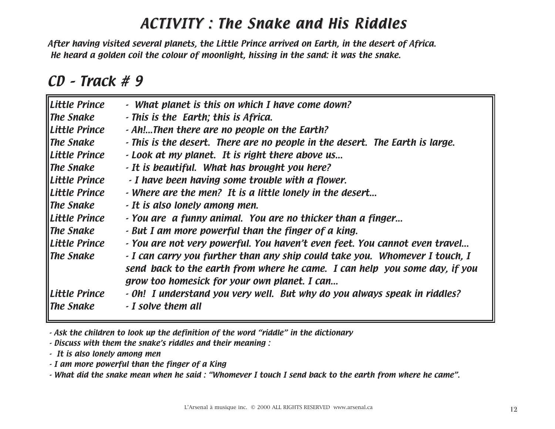#### ACTIVITY : The Snake and His Riddles

After having visited several planets, the Little Prince arrived on Earth, in the desert of Africa. He heard a golden coil the colour of moonlight, hissing in the sand: it was the snake.

#### CD – Track # 9

| Little Prince                          | - What planet is this on which I have come down?                                                                                                                                                          |  |
|----------------------------------------|-----------------------------------------------------------------------------------------------------------------------------------------------------------------------------------------------------------|--|
| $\parallel$ The Snake                  | - This is the Earth; this is Africa.                                                                                                                                                                      |  |
| Little Prince                          | - Ah!Then there are no people on the Earth?                                                                                                                                                               |  |
| $\parallel$ The Snake                  | - This is the desert. There are no people in the desert. The Earth is large.                                                                                                                              |  |
| Little Prince                          | - Look at my planet. It is right there above us                                                                                                                                                           |  |
| $\parallel$ The Snake                  | - It is beautiful. What has brought you here?                                                                                                                                                             |  |
| Little Prince                          | - I have been having some trouble with a flower.                                                                                                                                                          |  |
| <b>ILittle Prince</b>                  | - Where are the men? It is a little lonely in the desert                                                                                                                                                  |  |
| $\parallel$ The Snake                  | - It is also lonely among men.                                                                                                                                                                            |  |
| Little Prince                          | - You are a funny animal. You are no thicker than a finger                                                                                                                                                |  |
| $\parallel$ The Snake                  | - But I am more powerful than the finger of a king.                                                                                                                                                       |  |
| Little Prince                          | - You are not very powerful. You haven't even feet. You cannot even travel                                                                                                                                |  |
| $\parallel$ The Snake                  | - I can carry you further than any ship could take you. Whomever I touch, I<br>send back to the earth from where he came. I can help you some day, if you<br>grow too homesick for your own planet. I can |  |
| Little Prince<br>$\parallel$ The Snake | - Oh! I understand you very well. But why do you always speak in riddles?<br>- I solve them all                                                                                                           |  |

- Ask the children to look up the definition of the word "riddle" in the dictionary

- Discuss with them the snake's riddles and their meaning :

- It is also lonely among men

- I am more powerful than the finger of a King

- What did the snake mean when he said : "Whomever I touch I send back to the earth from where he came".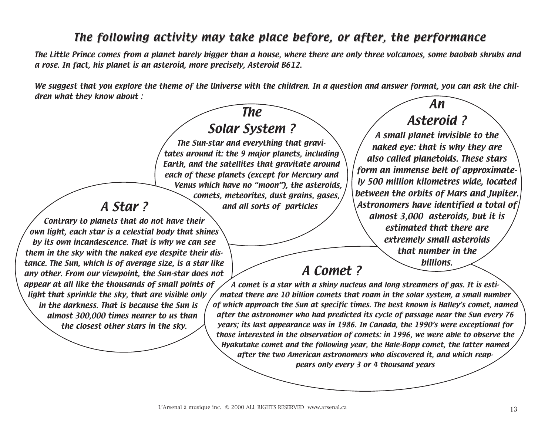#### The following activity may take place before, or after, the performance

The Little Prince comes from a planet barely bigger than a house, where there are only three volcanoes, some baobab shrubs and a rose. In fact, his planet is an asteroid, more precisely, Asteroid B612.

We suggest that you explore the theme of the Universe with the children. In a question and answer format, you can ask the children what they know about :

#### The Solar System ? The Sun-star and everything that gravitates around it: the 9 major planets, including Earth, and the satellites that gravitate around each of these planets (except for Mercury and Venus which have no "moon"), the asteroids, comets, meteorites, dust grains, gases, A Star? and all sorts of particles Contrary to planets that do not have their own light, each star is a celestial body that shines by its own incandescence. That is why we can see them in the sky with the naked eye despite their distance. The Sun, which is of average size, is a star like any other. From our viewpoint, the Sun-star does not appear at all like the thousands of small points of light that sprinkle the sky, that are visible only in the darkness. That is because the Sun is almost 300,000 times nearer to us than the closest other stars in the sky. A Comet ? A comet is a star with a shiny nucleus and long streamers of gas. It is estimated there are 10 billion comets that roam in the solar system, a small number of which approach the Sun at specific times. The best known is Halley's comet, named after the astronomer who had predicted its cycle of passage near the Sun every 76 years; its last appearance was in 1986. In Canada, the 1990's were exceptional for those interested in the observation of comets: in 1996, we were able to observe the Hyakutake comet and the following year, the Hale-Bopp comet, the latter named after the two American astronomers who discovered it, and which reappears only every 3 or 4 thousand years An Asteroid ? A small planet invisible to the naked eye: that is why they are also called planetoids. These stars form an immense belt of approximately 500 million kilometres wide, located between the orbits of Mars and Jupiter. Astronomers have identified a total of almost 3,000 asteroids, but it is estimated that there are extremely small asteroids that number in the billions.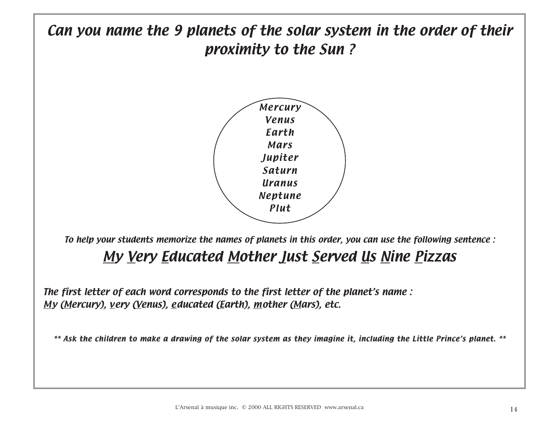

#### My Very Educated Mother Just Served Us Nine Pizzas

The first letter of each word corresponds to the first letter of the planet's name : My (Mercury), very (Venus), educated (Earth), mother (Mars), etc.

\*\* Ask the children to make a drawing of the solar system as they imagine it, including the Little Prince's planet. \*\*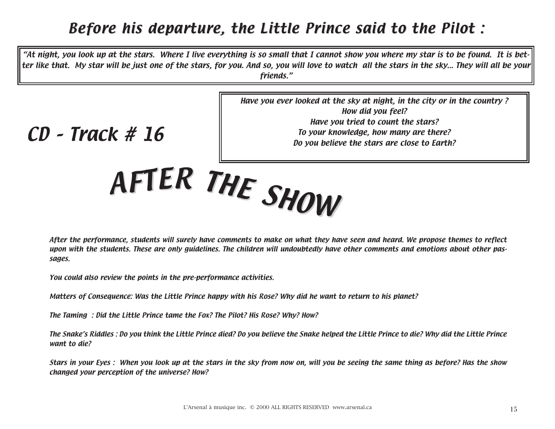#### Before his departure, the Little Prince said to the Pilot :

"At night, you look up at the stars. Where I live everything is so small that I cannot show you where my star is to be found. It is better like that. My star will be just one of the stars, for you. And so, you will love to watch all the stars in the sky... They will all be your friends."

> Have you ever looked at the sky at night, in the city or in the country ? How did you feel? Have you tried to count the stars? To your knowledge, how many are there? Do you believe the stars are close to Earth?

CD – Track # 16

After the performance, students will surely have comments to make on what they have seen and heard. We propose themes to reflect upon with the students. These are only guidelines. The children will undoubtedly have other comments and emotions about other passages.

You could also review the points in the pre-performance activities.

Matters of Consequence: Was the Little Prince happy with his Rose? Why did he want to return to his planet?

<sup>A</sup>FTE<sup>R</sup> <sup>T</sup>H<sup>E</sup> <sup>S</sup>HO<sup>W</sup>

The Taming : Did the Little Prince tame the Fox? The Pilot? His Rose? Why? How?

The Snake's Riddles : Do you think the Little Prince died? Do you believe the Snake helped the Little Prince to die? Why did the Little Prince want to die?

Stars in your Eyes : When you look up at the stars in the sky from now on, will you be seeing the same thing as before? Has the show changed your perception of the universe? How?